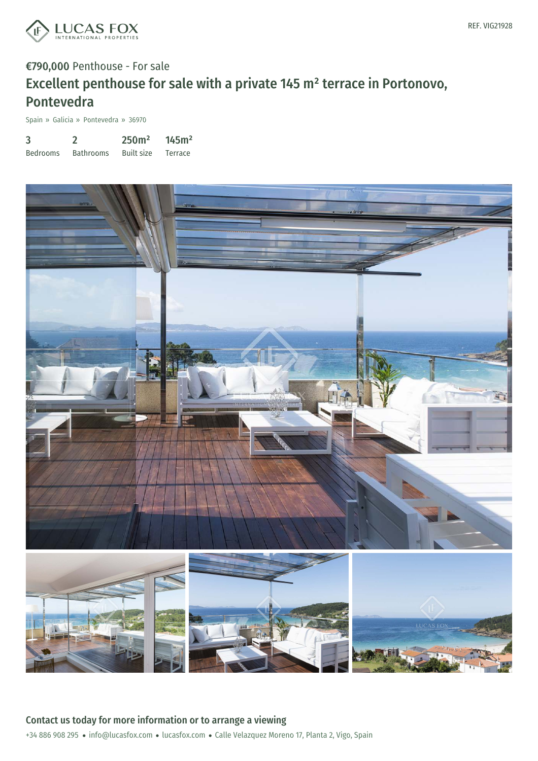

# €790,000 Penthouse - For sale Excellent penthouse for sale with a private 145 m² terrace in Portonovo, Pontevedra

Spain » Galicia » Pontevedra » 36970

| 3               |                  | 250 <sup>m²</sup> | 145m <sup>2</sup> |
|-----------------|------------------|-------------------|-------------------|
| <b>Bedrooms</b> | <b>Bathrooms</b> | <b>Built size</b> | Terrace           |



+34 886 908 295 · info@lucasfox.com · lucasfox.com · Calle Velazquez Moreno 17, Planta 2, Vigo, Spain Contact us today for more information or to arrange a viewing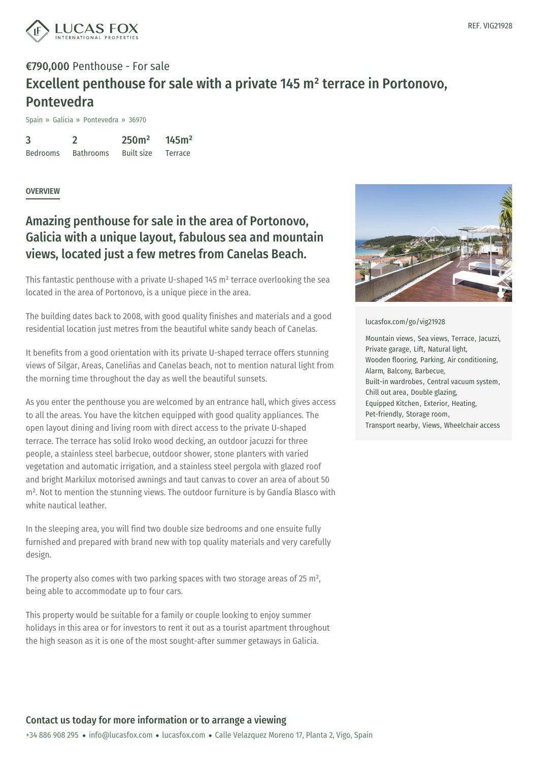

## €790,000 Penthouse - For sale Excellent penthouse for sale with a private 145 m² terrace in Portonovo, Pontevedra

Spain » Galicia » Pontevedra » 36970

3 Bedrooms 2 Bathrooms 250m² Built size 145m² Terrace

### **OVERVIEW**

### Amazing penthouse for sale in the area of Portonovo, Galicia with a unique layout, fabulous sea and mountain views, located just a few metres from Canelas Beach.

This fantastic penthouse with a private U-shaped 145 m² terrace overlooking the sea located in the area of Portonovo, is a unique piece in the area.

The building dates back to 2008, with good quality finishes and materials and a good residential location just metres from the beautiful white sandy beach of Canelas.

It benefits from a good orientation with its private U-shaped terrace offers stunning views of Silgar, Areas, Caneliñas and Canelas beach, not to mention natural light from the morning time throughout the day as well the beautiful sunsets.

As you enter the penthouse you are welcomed by an entrance hall, which gives access to all the areas. You have the kitchen equipped with good quality appliances. The open layout dining and living room with direct access to the private U-shaped terrace. The terrace has solid Iroko wood decking, an outdoor jacuzzi for three people, a stainless steel barbecue, outdoor shower, stone planters with varied vegetation and automatic irrigation, and a stainless steel pergola with glazed roof and bright Markilux motorised awnings and taut canvas to cover an area of about 50 m². Not to mention the stunning views. The outdoor furniture is by Gandía Blasco with white nautical leather

In the sleeping area, you will find two double size bedrooms and one ensuite fully furnished and pr[epared](mailto:info@lucasfox.com) with brand new [with](https://www.lucasfox.com) top quality materials and very carefully design.

The property also comes with two parking spaces with two storage areas of 25 m<sup>2</sup>, being able to accommodate up to four cars.

This property would be suitable for a family or couple looking to enjoy summer holidays in this area or for investors to rent it out as a tourist apartment throughout the high season as it is one of the most sought-after summer getaways in Galicia.



#### [lucasfox.com/go/vig21928](https://www.lucasfox.com/go/vig21928)

Mountain views, Sea views, Terrace, Jacuzzi, Private garage, Lift, Natural light, Wooden flooring, Parking, Air conditioning, Alarm, Balcony, Barbecue, Built-in wardrobes, Central vacuum system, Chill out area, Double glazing, Equipped Kitchen, Exterior, Heating, Pet-friendly, Storage room, Transport nearby, Views, Wheelchair access